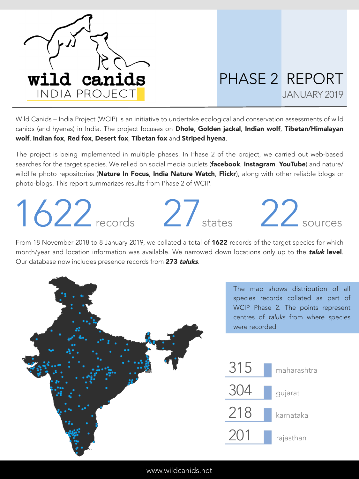

## PHASE 2 REPORT JANUARY 2019

Wild Canids – India Project (WCIP) is an initiative to undertake ecological and conservation assessments of wild canids (and hyenas) in India. The project focuses on Dhole, Golden jackal, Indian wolf, Tibetan/Himalayan wolf, Indian fox, Red fox, Desert fox, Tibetan fox and Striped hyena.

The project is being implemented in multiple phases. In Phase 2 of the project, we carried out web-based searches for the target species. We relied on social media outlets (facebook, Instagram, YouTube) and nature/ wildlife photo repositories (Nature In Focus, India Nature Watch, Flickr), along with other reliable blogs or photo-blogs. This report summarizes results from Phase 2 of WCIP.

## $1622$  records  $27$  states





From 18 November 2018 to 8 January 2019, we collated a total of **1622** records of the target species for which month/year and location information was available. We narrowed down locations only up to the *taluk* level. Our database now includes presence records from 273 taluks.



www.wildcanids.net